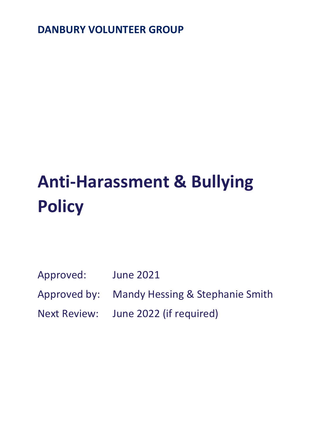**DANBURY VOLUNTEER GROUP**

# **Anti-Harassment & Bullying Policy**

Approved: June 2021

Approved by: Mandy Hessing & Stephanie Smith

Next Review: June 2022 (if required)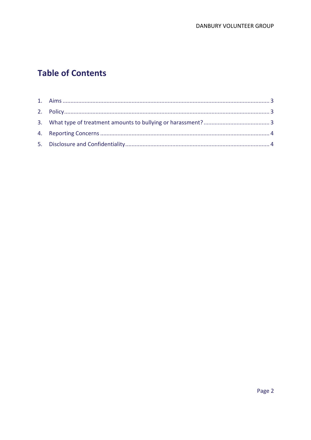# **Table of Contents**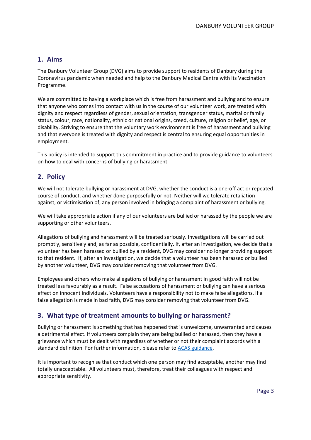### <span id="page-2-0"></span>**1. Aims**

The Danbury Volunteer Group (DVG) aims to provide support to residents of Danbury during the Coronavirus pandemic when needed and help to the Danbury Medical Centre with its Vaccination Programme.

We are committed to having a workplace which is free from harassment and bullying and to ensure that anyone who comes into contact with us in the course of our volunteer work, are treated with dignity and respect regardless of gender, sexual orientation, transgender status, marital or family status, colour, race, nationality, ethnic or national origins, creed, culture, religion or belief, age, or disability. Striving to ensure that the voluntary work environment is free of harassment and bullying and that everyone is treated with dignity and respect is central to ensuring equal opportunities in employment.

This policy is intended to support this commitment in practice and to provide guidance to volunteers on how to deal with concerns of bullying or harassment.

## <span id="page-2-1"></span>**2. Policy**

We will not tolerate bullying or harassment at DVG, whether the conduct is a one-off act or repeated course of conduct, and whether done purposefully or not. Neither will we tolerate retaliation against, or victimisation of, any person involved in bringing a complaint of harassment or bullying.

We will take appropriate action if any of our volunteers are bullied or harassed by the people we are supporting or other volunteers.

Allegations of bullying and harassment will be treated seriously. Investigations will be carried out promptly, sensitively and, as far as possible, confidentially. If, after an investigation, we decide that a volunteer has been harassed or bullied by a resident, DVG may consider no longer providing support to that resident. If, after an investigation, we decide that a volunteer has been harassed or bullied by another volunteer, DVG may consider removing that volunteer from DVG.

Employees and others who make allegations of bullying or harassment in good faith will not be treated less favourably as a result. False accusations of harassment or bullying can have a serious effect on innocent individuals. Volunteers have a responsibility not to make false allegations. If a false allegation is made in bad faith, DVG may consider removing that volunteer from DVG.

#### <span id="page-2-2"></span>**3. What type of treatment amounts to bullying or harassment?**

Bullying or harassment is something that has happened that is unwelcome, unwarranted and causes a detrimental effect. If volunteers complain they are being bullied or harassed, then they have a grievance which must be dealt with regardless of whether or not their complaint accords with a standard definition. For further information, please refer to [ACAS guidance.](http://www.acas.org.uk/index.aspx?articleid=794)

It is important to recognise that conduct which one person may find acceptable, another may find totally unacceptable. All volunteers must, therefore, treat their colleagues with respect and appropriate sensitivity.